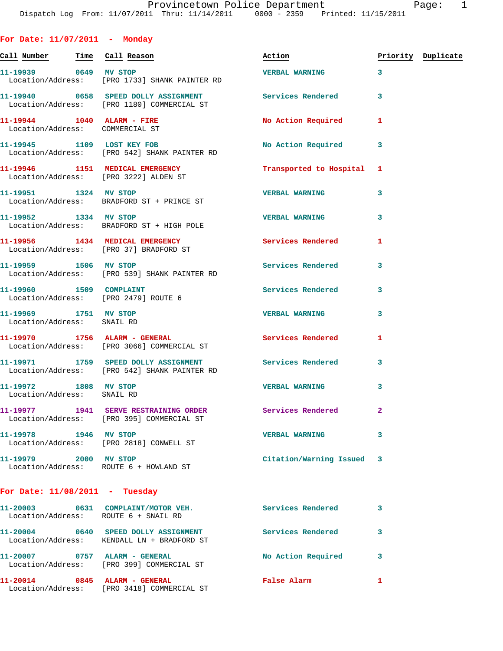**For Date: 11/07/2011 - Monday Call Number Time Call Reason Action Priority Duplicate 11-19939 0649 MV STOP VERBAL WARNING 3**  Location/Address: [PRO 1733] SHANK PAINTER RD 11-19940 0658 SPEED DOLLY ASSIGNMENT **Services Rendered** 3 Location/Address: [PRO 1180] COMMERCIAL ST **11-19944 1040 ALARM - FIRE No Action Required 1**  Location/Address: COMMERCIAL ST 11-19945 1109 LOST KEY FOB No Action Required 3 Location/Address: [PRO 542] SHANK PAINTER RD **11-19946 1151 MEDICAL EMERGENCY Transported to Hospital 1**  Location/Address: [PRO 3222] ALDEN ST **11-19951 1324 MV STOP VERBAL WARNING 3**  Location/Address: BRADFORD ST + PRINCE ST

**11-19952 1334 MV STOP VERBAL WARNING 3**  Location/Address: BRADFORD ST + HIGH POLE **11-19956 1434 MEDICAL EMERGENCY Services Rendered 1**  Location/Address: [PRO 37] BRADFORD ST 11-19959 1506 MV STOP 1506 1500 Services Rendered 3

 Location/Address: [PRO 539] SHANK PAINTER RD 11-19960 1509 COMPLAINT **11-19960** 1509 Services Rendered 3 Location/Address: [PRO 2479] ROUTE 6 **11-19969 1751 MV STOP VERBAL WARNING 3**  Location/Address: SNAIL RD **11-19970 1756 ALARM - GENERAL Services Rendered 1**  Location/Address: [PRO 3066] COMMERCIAL ST **11-19971 1759 SPEED DOLLY ASSIGNMENT Services Rendered 3**  Location/Address: [PRO 542] SHANK PAINTER RD **11-19972 1808 MV STOP VERBAL WARNING 3**  Location/Address: SNAIL RD

**11-19977 1941 SERVE RESTRAINING ORDER Services Rendered 2**  Location/Address: [PRO 395] COMMERCIAL ST **11-19978 1946 MV STOP VERBAL WARNING 3**  Location/Address: [PRO 2818] CONWELL ST **11-19979 2000 MV STOP Citation/Warning Issued 3**  Location/Address: ROUTE 6 + HOWLAND ST

## **For Date: 11/08/2011 - Tuesday**

| 11-20003<br>0631<br>Location/Address: ROUTE 6 + SNAIL RD | COMPLAINT/MOTOR VEH.                                                 | Services Rendered  |   |
|----------------------------------------------------------|----------------------------------------------------------------------|--------------------|---|
| 11-20004<br>0640                                         | SPEED DOLLY ASSIGNMENT<br>Location/Address: KENDALL LN + BRADFORD ST | Services Rendered  |   |
| 11-20007<br>0757                                         | ALARM - GENERAL<br>Location/Address: [PRO 399] COMMERCIAL ST         | No Action Required | 3 |
| 11-20014<br>0845                                         | ALARM - GENERAL<br>Location/Address: [PRO 3418] COMMERCIAL ST        | <b>False Alarm</b> |   |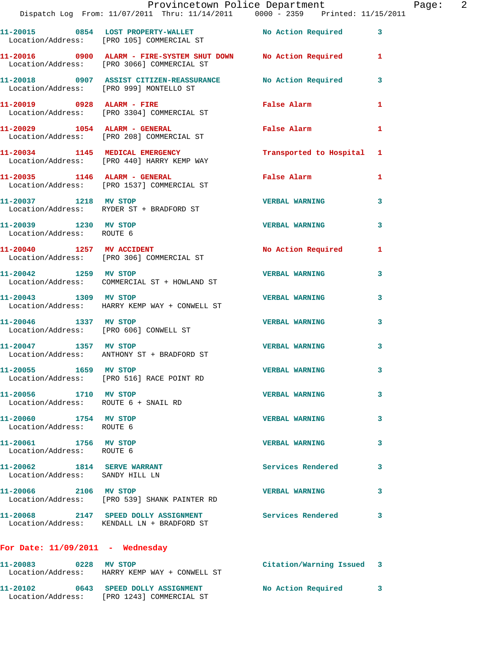|                                                                | Provincetown Police Department                                                                               |                           |   |
|----------------------------------------------------------------|--------------------------------------------------------------------------------------------------------------|---------------------------|---|
|                                                                | Dispatch Log From: 11/07/2011 Thru: 11/14/2011 0000 - 2359 Printed: 11/15/2011                               |                           |   |
|                                                                | 11-20015 0854 LOST PROPERTY-WALLET No Action Required 3<br>Location/Address: [PRO 105] COMMERCIAL ST         |                           |   |
|                                                                | 11-20016 0900 ALARM - FIRE-SYSTEM SHUT DOWN No Action Required<br>Location/Address: [PRO 3066] COMMERCIAL ST |                           | 1 |
|                                                                | 11-20018 0907 ASSIST CITIZEN-REASSURANCE No Action Required<br>Location/Address: [PRO 999] MONTELLO ST       |                           | 3 |
| 11-20019 0928 ALARM - FIRE                                     | Location/Address: [PRO 3304] COMMERCIAL ST                                                                   | False Alarm               | 1 |
|                                                                | 11-20029 1054 ALARM - GENERAL<br>Location/Address: [PRO 208] COMMERCIAL ST                                   | False Alarm               | 1 |
|                                                                | 11-20034 1145 MEDICAL EMERGENCY<br>Location/Address: [PRO 440] HARRY KEMP WAY                                | Transported to Hospital 1 |   |
|                                                                | 11-20035 1146 ALARM - GENERAL<br>Location/Address: [PRO 1537] COMMERCIAL ST                                  | False Alarm               | 1 |
| 11-20037 1218 MV STOP                                          | Location/Address: RYDER ST + BRADFORD ST                                                                     | <b>VERBAL WARNING</b>     | 3 |
| 11-20039 1230 MV STOP<br>Location/Address: ROUTE 6             |                                                                                                              | <b>VERBAL WARNING</b>     | 3 |
|                                                                | 11-20040 1257 MV ACCIDENT<br>Location/Address: [PRO 306] COMMERCIAL ST                                       | No Action Required        | 1 |
| 11-20042 1259 MV STOP                                          | Location/Address: COMMERCIAL ST + HOWLAND ST                                                                 | <b>VERBAL WARNING</b>     | 3 |
| 11-20043 1309 MV STOP                                          | Location/Address: HARRY KEMP WAY + CONWELL ST                                                                | <b>VERBAL WARNING</b>     | 3 |
| 11-20046 1337 MV STOP                                          | Location/Address: [PRO 606] CONWELL ST                                                                       | <b>VERBAL WARNING</b>     | 3 |
|                                                                | 11-20047 1357 MV STOP<br>Location/Address: ANTHONY ST + BRADFORD ST                                          | <b>VERBAL WARNING</b>     | 3 |
| 11-20055 1659 MV STOP                                          | Location/Address: [PRO 516] RACE POINT RD                                                                    | <b>VERBAL WARNING</b>     |   |
| 11-20056 1710 MV STOP<br>Location/Address: ROUTE 6 + SNAIL RD  |                                                                                                              | <b>VERBAL WARNING</b>     | 3 |
| 11-20060 1754 MV STOP<br>Location/Address: ROUTE 6             |                                                                                                              | <b>VERBAL WARNING</b>     | 3 |
| 11-20061 1756 MV STOP<br>Location/Address: ROUTE 6             |                                                                                                              | <b>VERBAL WARNING</b>     | 3 |
| 11-20062 1814 SERVE WARRANT<br>Location/Address: SANDY HILL LN |                                                                                                              | <b>Services Rendered</b>  | 3 |
| 11-20066 2106 MV STOP                                          | Location/Address: [PRO 539] SHANK PAINTER RD                                                                 | <b>VERBAL WARNING</b>     | 3 |
|                                                                | 11-20068 2147 SPEED DOLLY ASSIGNMENT<br>Location/Address: KENDALL LN + BRADFORD ST                           | Services Rendered         | 3 |
| For Date: $11/09/2011$ - Wednesday                             |                                                                                                              |                           |   |
|                                                                |                                                                                                              |                           |   |

**11-20083 0228 MV STOP Citation/Warning Issued 3**  Location/Address: HARRY KEMP WAY + CONWELL ST **11-20102 0643 SPEED DOLLY ASSIGNMENT No Action Required 3**  Location/Address: [PRO 1243] COMMERCIAL ST

Page: 2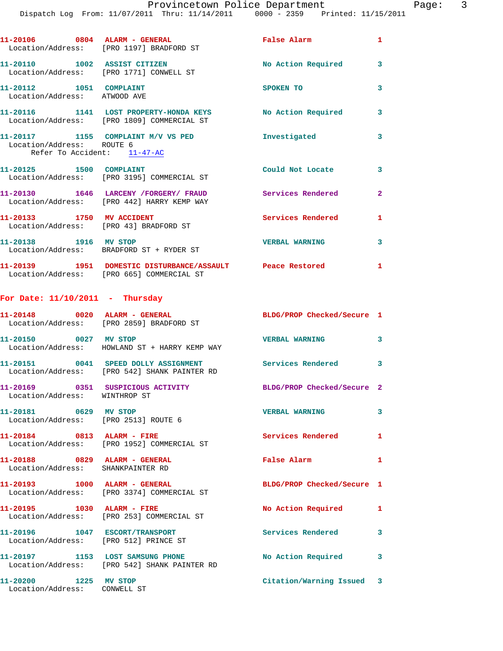|                                                                     | 11-20106 0804 ALARM - GENERAL<br>Location/Address: [PRO 1197] BRADFORD ST                               | False Alarm           | $\mathbf{1}$   |
|---------------------------------------------------------------------|---------------------------------------------------------------------------------------------------------|-----------------------|----------------|
| 11-20110 1002 ASSIST CITIZEN                                        | Location/Address: [PRO 1771] CONWELL ST                                                                 | No Action Required    | 3              |
| 11-20112 1051 COMPLAINT<br>Location/Address: ATWOOD AVE             |                                                                                                         | SPOKEN TO             | 3              |
|                                                                     | 11-20116 1141 LOST PROPERTY-HONDA KEYS<br>Location/Address: [PRO 1809] COMMERCIAL ST                    | No Action Required    | 3              |
| Location/Address: ROUTE 6                                           | 11-20117 1155 COMPLAINT M/V VS PED<br>Refer To Accident: 11-47-AC                                       | Investigated          | 3              |
| 11-20125 1500 COMPLAINT                                             | Location/Address: [PRO 3195] COMMERCIAL ST                                                              | Could Not Locate      | 3              |
|                                                                     | 11-20130 1646 LARCENY / FORGERY / FRAUD Services Rendered<br>Location/Address: [PRO 442] HARRY KEMP WAY |                       | $\overline{2}$ |
| 11-20133 1750 MV ACCIDENT<br>Location/Address: [PRO 43] BRADFORD ST |                                                                                                         | Services Rendered     | $\mathbf{1}$   |
|                                                                     | 11-20138 1916 MV STOP<br>Location/Address: BRADFORD ST + RYDER ST                                       | <b>VERBAL WARNING</b> | 3              |
|                                                                     | 11-20139 1951 DOMESTIC DISTURBANCE/ASSAULT Peace Restored<br>Location/Address: [PRO 665] COMMERCIAL ST  |                       | 1              |

## **For Date: 11/10/2011 - Thursday**

Location/Address: CONWELL ST

|                                                                         | Location/Address: [PRO 2859] BRADFORD ST                                             | BLDG/PROP Checked/Secure 1 |              |
|-------------------------------------------------------------------------|--------------------------------------------------------------------------------------|----------------------------|--------------|
| 11-20150 0027 MV STOP                                                   | Location/Address: HOWLAND ST + HARRY KEMP WAY                                        | <b>VERBAL WARNING</b>      | $\mathbf{3}$ |
|                                                                         | 11-20151 0041 SPEED DOLLY ASSIGNMENT<br>Location/Address: [PRO 542] SHANK PAINTER RD | Services Rendered 3        |              |
| Location/Address: WINTHROP ST                                           |                                                                                      | BLDG/PROP Checked/Secure 2 |              |
| 11-20181 0629 MV STOP<br>Location/Address: [PRO 2513] ROUTE 6           |                                                                                      | <b>VERBAL WARNING</b>      | 3            |
| 11-20184 0813 ALARM - FIRE                                              | Location/Address: [PRO 1952] COMMERCIAL ST                                           | <b>Services Rendered</b>   | $\mathbf{1}$ |
| 11-20188 0829 ALARM - GENERAL<br>Location/Address: SHANKPAINTER RD      |                                                                                      | <b>False Alarm</b>         | $\mathbf{1}$ |
|                                                                         | Location/Address: [PRO 3374] COMMERCIAL ST                                           | BLDG/PROP Checked/Secure 1 |              |
|                                                                         | Location/Address: [PRO 253] COMMERCIAL ST                                            | No Action Required         | $\mathbf{1}$ |
| 11-20196 1047 ESCORT/TRANSPORT<br>Location/Address: [PRO 512] PRINCE ST |                                                                                      | <b>Services Rendered</b>   | 3            |
|                                                                         | 11-20197 1153 LOST SAMSUNG PHONE<br>Location/Address: [PRO 542] SHANK PAINTER RD     | No Action Required         | $\mathbf{3}$ |
| 11-20200 1225 MV STOP                                                   |                                                                                      | Citation/Warning Issued 3  |              |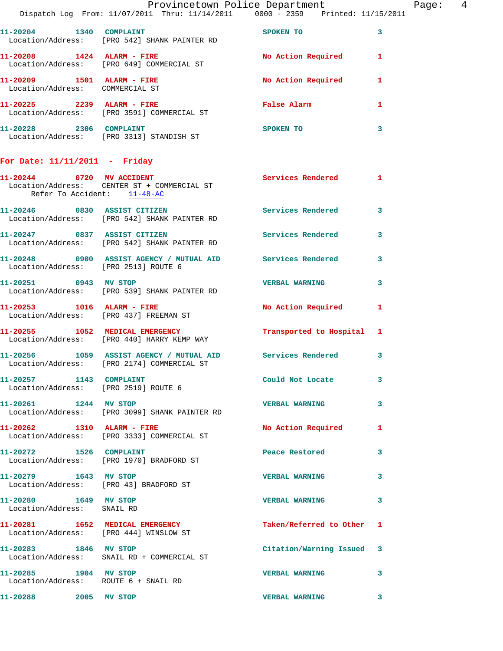|                                                                 | Provincetown Police Department The Rage: 4                                                               |                           |   |
|-----------------------------------------------------------------|----------------------------------------------------------------------------------------------------------|---------------------------|---|
|                                                                 | Dispatch Log From: 11/07/2011 Thru: 11/14/2011 0000 - 2359 Printed: 11/15/2011                           |                           |   |
|                                                                 | 11-20204 1340 COMPLAINT<br>Location/Address: [PRO 542] SHANK PAINTER RD                                  | SPOKEN TO                 | 3 |
|                                                                 | 11-20208 1424 ALARM - FIRE No Action Required 1<br>Location/Address: [PRO 649] COMMERCIAL ST             |                           |   |
| $11-20209$ 1501 ALARM - FIRE<br>Location/Address: COMMERCIAL ST |                                                                                                          | No Action Required 1      |   |
|                                                                 | 11-20225 2239 ALARM - FIRE<br>Location/Address: [PRO 3591] COMMERCIAL ST                                 | False Alarm               | 1 |
|                                                                 | 11-20228 2306 COMPLAINT<br>Location/Address: [PRO 3313] STANDISH ST                                      | <b>SPOKEN TO</b>          | 3 |
| For Date: $11/11/2011$ - Friday                                 |                                                                                                          |                           |   |
| Refer To Accident: 11-48-AC                                     | 11-20244 0720 MV ACCIDENT<br>Location/Address: CENTER ST + COMMERCIAL ST                                 | Services Rendered 1       |   |
|                                                                 | 11-20246 0830 ASSIST CITIZEN<br>Location/Address: [PRO 542] SHANK PAINTER RD                             | Services Rendered         | 3 |
|                                                                 | 11-20247 0837 ASSIST CITIZEN 5 Services Rendered 3<br>Location/Address: [PRO 542] SHANK PAINTER RD       |                           |   |
|                                                                 | 11-20248 0900 ASSIST AGENCY / MUTUAL AID Services Rendered<br>Location/Address: [PRO 2513] ROUTE 6       |                           | 3 |
| 11-20251 0943 MV STOP                                           | Location/Address: [PRO 539] SHANK PAINTER RD                                                             | <b>VERBAL WARNING</b>     | 3 |
|                                                                 |                                                                                                          | No Action Required 1      |   |
|                                                                 | 11-20255 1052 MEDICAL EMERGENCY<br>Location/Address: [PRO 440] HARRY KEMP WAY                            | Transported to Hospital 1 |   |
|                                                                 | 11-20256 1059 ASSIST AGENCY / MUTUAL AID Services Rendered<br>Location/Address: [PRO 2174] COMMERCIAL ST |                           | 3 |
| 11-20257 1143 COMPLAINT                                         | Location/Address: [PRO 2519] ROUTE 6                                                                     | Could Not Locate          | 3 |
| 11-20261 1244 MV STOP                                           | Location/Address: [PRO 3099] SHANK PAINTER RD                                                            | <b>VERBAL WARNING</b>     | 3 |
| 11-20262 1310 ALARM - FIRE                                      | Location/Address: [PRO 3333] COMMERCIAL ST                                                               | No Action Required 1      |   |
| 11-20272 1526 COMPLAINT                                         | Location/Address: [PRO 1970] BRADFORD ST                                                                 | Peace Restored            | 3 |
| 11-20279 1643 MV STOP                                           | Location/Address: [PRO 43] BRADFORD ST                                                                   | <b>VERBAL WARNING</b>     | 3 |
| 11-20280 1649 MV STOP<br>Location/Address: SNAIL RD             |                                                                                                          | <b>VERBAL WARNING</b>     | 3 |
|                                                                 | 11-20281 1652 MEDICAL EMERGENCY<br>Location/Address: [PRO 444] WINSLOW ST                                | Taken/Referred to Other 1 |   |
|                                                                 | 11-20283 1846 MV STOP<br>Location/Address: SNAIL RD + COMMERCIAL ST                                      | Citation/Warning Issued 3 |   |
| 11-20285 1904 MV STOP<br>Location/Address: ROUTE 6 + SNAIL RD   |                                                                                                          | <b>VERBAL WARNING</b>     | 3 |
| 11-20288 2005 MV STOP                                           |                                                                                                          | <b>VERBAL WARNING</b>     | 3 |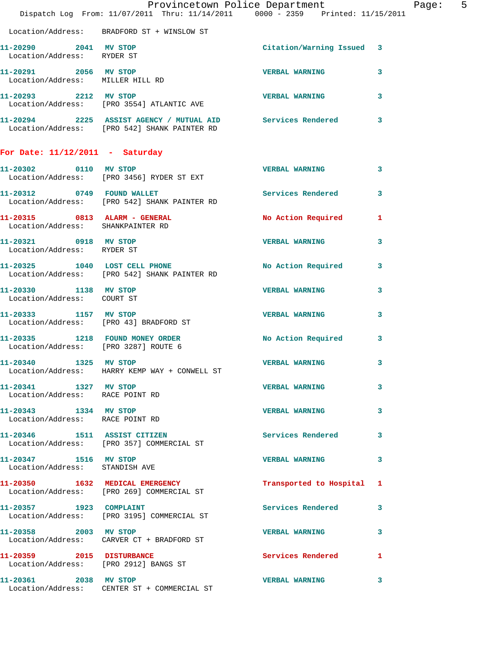|                                                           | Provincetown Police Department<br>Dispatch Log From: 11/07/2011 Thru: 11/14/2011 0000 - 2359 Printed: 11/15/2011 |                           | Page: 5      |  |
|-----------------------------------------------------------|------------------------------------------------------------------------------------------------------------------|---------------------------|--------------|--|
|                                                           | Location/Address: BRADFORD ST + WINSLOW ST                                                                       |                           |              |  |
| 11-20290 2041 MV STOP<br>Location/Address: RYDER ST       |                                                                                                                  | Citation/Warning Issued 3 |              |  |
| 11-20291 2056 MV STOP<br>Location/Address: MILLER HILL RD |                                                                                                                  | <b>VERBAL WARNING</b>     | $\mathbf{3}$ |  |
|                                                           | 11-20293 2212 MV STOP<br>Location/Address: [PRO 3554] ATLANTIC AVE                                               | <b>VERBAL WARNING</b>     | $\mathbf{3}$ |  |
|                                                           | 11-20294 2225 ASSIST AGENCY / MUTUAL AID Services Rendered 3<br>Location/Address: [PRO 542] SHANK PAINTER RD     |                           |              |  |
| For Date: $11/12/2011$ - Saturday                         |                                                                                                                  |                           |              |  |
|                                                           | 11-20302 0110 MV STOP<br>Location/Address: [PRO 3456] RYDER ST EXT                                               | <b>VERBAL WARNING</b>     | 3            |  |
|                                                           | 11-20312 0749 FOUND WALLET<br>Location/Address: [PRO 542] SHANK PAINTER RD                                       | Services Rendered 3       |              |  |
| Location/Address: SHANKPAINTER RD                         | 11-20315 0813 ALARM - GENERAL                                                                                    | No Action Required 1      |              |  |
| 11-20321 0918 MV STOP<br>Location/Address: RYDER ST       |                                                                                                                  | VERBAL WARNING 3          |              |  |
|                                                           | 11-20325 1040 LOST CELL PHONE<br>Location/Address: [PRO 542] SHANK PAINTER RD                                    | No Action Required 3      |              |  |
| 11-20330 1138 MV STOP<br>Location/Address: COURT ST       |                                                                                                                  | <b>VERBAL WARNING</b>     | 3            |  |
|                                                           | 11-20333 1157 MV STOP<br>Location/Address: [PRO 43] BRADFORD ST                                                  | <b>VERBAL WARNING</b>     | 3            |  |
| Location/Address: [PRO 3287] ROUTE 6                      | 11-20335 1218 FOUND MONEY ORDER                                                                                  | No Action Required 3      |              |  |
| 11-20340 1325 MV STOP                                     | Location/Address: HARRY KEMP WAY + CONWELL ST                                                                    | <b>VERBAL WARNING</b>     | 3            |  |
| 11-20341 1327 MV STOP<br>Location/Address: RACE POINT RD  |                                                                                                                  | <b>VERBAL WARNING</b>     | 3            |  |
| 11-20343 1334 MV STOP<br>Location/Address: RACE POINT RD  |                                                                                                                  | VERBAL WARNING 3          |              |  |
|                                                           | 11-20346 1511 ASSIST CITIZEN<br>Location/Address: [PRO 357] COMMERCIAL ST                                        | Services Rendered 3       |              |  |
| 11-20347 1516 MV STOP<br>Location/Address: STANDISH AVE   |                                                                                                                  | <b>VERBAL WARNING</b>     | 3            |  |
|                                                           | 11-20350 1632 MEDICAL EMERGENCY<br>Location/Address: [PRO 269] COMMERCIAL ST                                     | Transported to Hospital 1 |              |  |
|                                                           | 11-20357 1923 COMPLAINT<br>Location/Address: [PRO 3195] COMMERCIAL ST                                            | Services Rendered 3       |              |  |
| 11-20358 2003 MV STOP                                     | Location/Address: CARVER CT + BRADFORD ST                                                                        | VERBAL WARNING 3          |              |  |
|                                                           | 11-20359 2015 DISTURBANCE<br>Location/Address: [PRO 2912] BANGS ST                                               | Services Rendered         | $\mathbf{1}$ |  |
| 11-20361 2038 MV STOP                                     | Location/Address: CENTER ST + COMMERCIAL ST                                                                      | <b>VERBAL WARNING</b>     | 3            |  |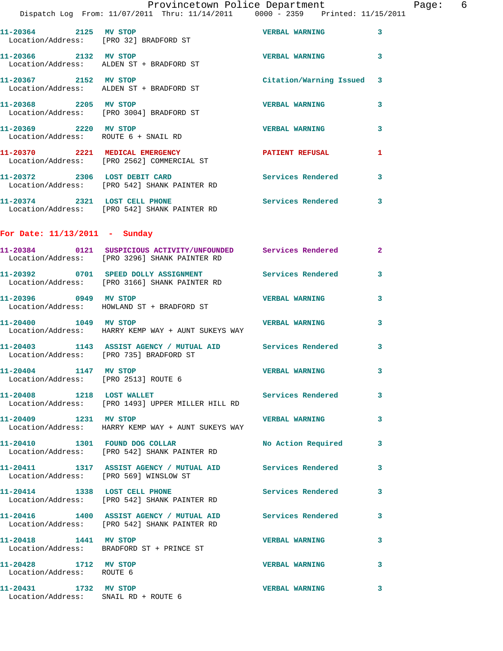| Provincetown Police Department |  |  |  |
|--------------------------------|--|--|--|
|--------------------------------|--|--|--|

Dispatch Log From: 11/07/2011 Thru: 11/14/2011 0000 - 2359 Printed: 11/15/2011

| 11-20364<br>2125<br>Location/Address: [PRO 32] BRADFORD ST | MV STOP                                                         | <b>VERBAL WARNING</b>     | 3 |
|------------------------------------------------------------|-----------------------------------------------------------------|---------------------------|---|
| 2132<br>11-20366                                           | MV STOP<br>Location/Address: ALDEN ST + BRADFORD ST             | <b>VERBAL WARNING</b>     | 3 |
| 2152<br>11-20367                                           | MV STOP<br>Location/Address: ALDEN ST + BRADFORD ST             | Citation/Warning Issued 3 |   |
| 11-20368<br>2205                                           | MV STOP<br>Location/Address: [PRO 3004] BRADFORD ST             | <b>VERBAL WARNING</b>     | 3 |
| 2220<br>11-20369<br>Location/Address: ROUTE 6 + SNAIL RD   | MV STOP                                                         | <b>VERBAL WARNING</b>     | 3 |
| 2221<br>11-20370                                           | MEDICAL EMERGENCY<br>Location/Address: [PRO 2562] COMMERCIAL ST | PATIENT REFUSAL           | 1 |
| 11-20372<br>2306                                           | LOST DEBIT CARD                                                 | Services Rendered         | 3 |

 Location/Address: [PRO 542] SHANK PAINTER RD **11-20374 2321 LOST CELL PHONE Services Rendered 3**  Location/Address: [PRO 542] SHANK PAINTER RD

## **For Date: 11/13/2011 - Sunday**

|                                                    | 11-20384   0121   SUSPICIOUS ACTIVITY/UNFOUNDED   Services Rendered   2<br>Location/Address: [PRO 3296] SHANK PAINTER RD |                          |                         |
|----------------------------------------------------|--------------------------------------------------------------------------------------------------------------------------|--------------------------|-------------------------|
|                                                    | 11-20392 0701 SPEED DOLLY ASSIGNMENT Services Rendered<br>Location/Address: [PRO 3166] SHANK PAINTER RD                  |                          | $\mathbf{3}$            |
| 11-20396 0949 MV STOP                              | Location/Address: HOWLAND ST + BRADFORD ST                                                                               | <b>VERBAL WARNING</b>    | $\overline{\mathbf{3}}$ |
| 11-20400 1049 MV STOP                              | Location/Address: HARRY KEMP WAY + AUNT SUKEYS WAY                                                                       | <b>VERBAL WARNING</b>    | 3                       |
|                                                    | 11-20403 1143 ASSIST AGENCY / MUTUAL AID Services Rendered<br>Location/Address: [PRO 735] BRADFORD ST                    |                          | 3                       |
| 11-20404 1147 MV STOP                              | Location/Address: [PRO 2513] ROUTE 6                                                                                     | <b>VERBAL WARNING</b>    | 3                       |
| 11-20408 1218 LOST WALLET                          | Location/Address: [PRO 1493] UPPER MILLER HILL RD                                                                        | <b>Services Rendered</b> | 3                       |
| 11-20409 1231 MV STOP                              | Location/Address: HARRY KEMP WAY + AUNT SUKEYS WAY                                                                       | <b>VERBAL WARNING</b>    | 3                       |
|                                                    | 11-20410 1301 FOUND DOG COLLAR<br>Location/Address: [PRO 542] SHANK PAINTER RD                                           | No Action Required       | 3                       |
|                                                    | 11-20411 1317 ASSIST AGENCY / MUTUAL AID Services Rendered<br>Location/Address: [PRO 569] WINSLOW ST                     |                          | $\mathbf{3}$            |
|                                                    | 11-20414 1338 LOST CELL PHONE<br>Location/Address: [PRO 542] SHANK PAINTER RD                                            | <b>Services Rendered</b> | 3                       |
|                                                    | 11-20416 1400 ASSIST AGENCY / MUTUAL AID Services Rendered<br>Location/Address: [PRO 542] SHANK PAINTER RD               |                          | 3                       |
| 11-20418   1441 MV STOP                            | Location/Address: BRADFORD ST + PRINCE ST                                                                                | <b>VERBAL WARNING</b>    | 3                       |
| 11-20428 1712 MV STOP<br>Location/Address: ROUTE 6 |                                                                                                                          | <b>VERBAL WARNING</b>    | 3                       |
|                                                    |                                                                                                                          |                          |                         |

**11-20431 1732 MV STOP VERBAL WARNING 3**  Location/Address: SNAIL RD + ROUTE 6